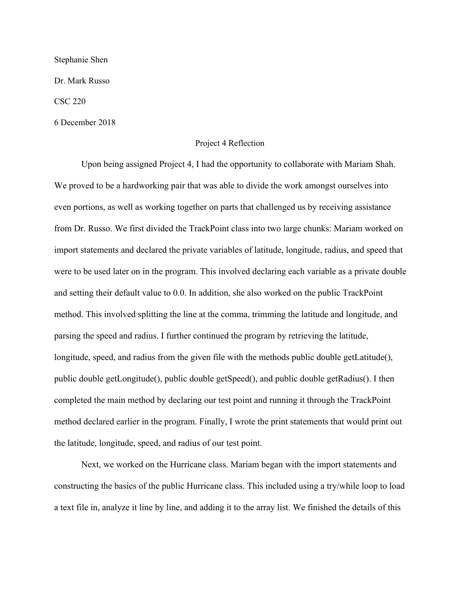Stephanie Shen

Dr. Mark Russo

CSC 220

6 December 2018

## Project 4 Reflection

Upon being assigned Project 4, I had the opportunity to collaborate with Mariam Shah. We proved to be a hardworking pair that was able to divide the work amongst ourselves into even portions, as well as working together on parts that challenged us by receiving assistance from Dr. Russo. We first divided the TrackPoint class into two large chunks: Mariam worked on import statements and declared the private variables of latitude, longitude, radius, and speed that were to be used later on in the program. This involved declaring each variable as a private double and setting their default value to 0.0. In addition, she also worked on the public TrackPoint method. This involved splitting the line at the comma, trimming the latitude and longitude, and parsing the speed and radius. I further continued the program by retrieving the latitude, longitude, speed, and radius from the given file with the methods public double getLatitude(), public double getLongitude(), public double getSpeed(), and public double getRadius(). I then completed the main method by declaring our test point and running it through the TrackPoint method declared earlier in the program. Finally, I wrote the print statements that would print out the latitude, longitude, speed, and radius of our test point.

Next, we worked on the Hurricane class. Mariam began with the import statements and constructing the basics of the public Hurricane class. This included using a try/while loop to load a text file in, analyze it line by line, and adding it to the array list. We finished the details of this